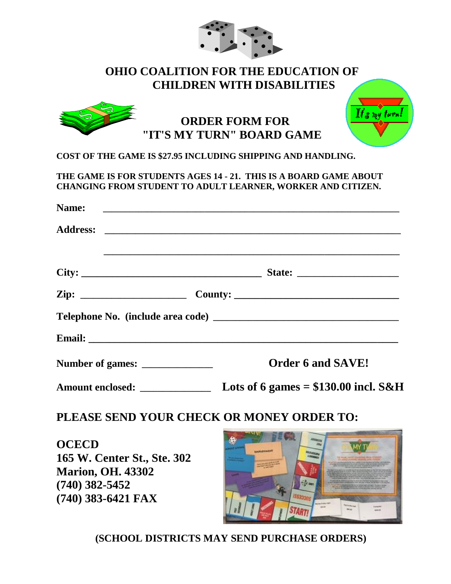| <b>OHIO COALITION FOR THE EDUCATION OF</b><br><b>CHILDREN WITH DISABILITIES</b> |                                                                                                                                  |
|---------------------------------------------------------------------------------|----------------------------------------------------------------------------------------------------------------------------------|
|                                                                                 | $\mathbf{I}$ ts my turn!<br><b>ORDER FORM FOR</b><br>"IT'S MY TURN" BOARD GAME                                                   |
| COST OF THE GAME IS \$27.95 INCLUDING SHIPPING AND HANDLING.                    |                                                                                                                                  |
|                                                                                 | THE GAME IS FOR STUDENTS AGES 14 - 21. THIS IS A BOARD GAME ABOUT<br>CHANGING FROM STUDENT TO ADULT LEARNER, WORKER AND CITIZEN. |
| <b>Name:</b>                                                                    |                                                                                                                                  |
|                                                                                 |                                                                                                                                  |
|                                                                                 |                                                                                                                                  |
|                                                                                 |                                                                                                                                  |
|                                                                                 |                                                                                                                                  |
|                                                                                 |                                                                                                                                  |
| Number of games: _________________                                              | <b>Order 6 and SAVE!</b>                                                                                                         |
| Amount enclosed: _______________                                                | Lots of 6 games = $$130.00$ incl. S&H                                                                                            |
|                                                                                 | PLEASE SEND YOUR CHECK OR MONEY ORDER TO:                                                                                        |
| <b>OCECD</b>                                                                    |                                                                                                                                  |
| 165 W. Center St., Ste. 302<br><b>Marion, OH, 43302</b>                         | <b>MPLOYENSM</b>                                                                                                                 |
|                                                                                 |                                                                                                                                  |

 $\bullet$  .  $\bullet$ 

**165 W. Center St., Ste. 302 Marion, OH. 43302 (740) 382-5452 (740) 383-6421 FAX**



 **(SCHOOL DISTRICTS MAY SEND PURCHASE ORDERS)**